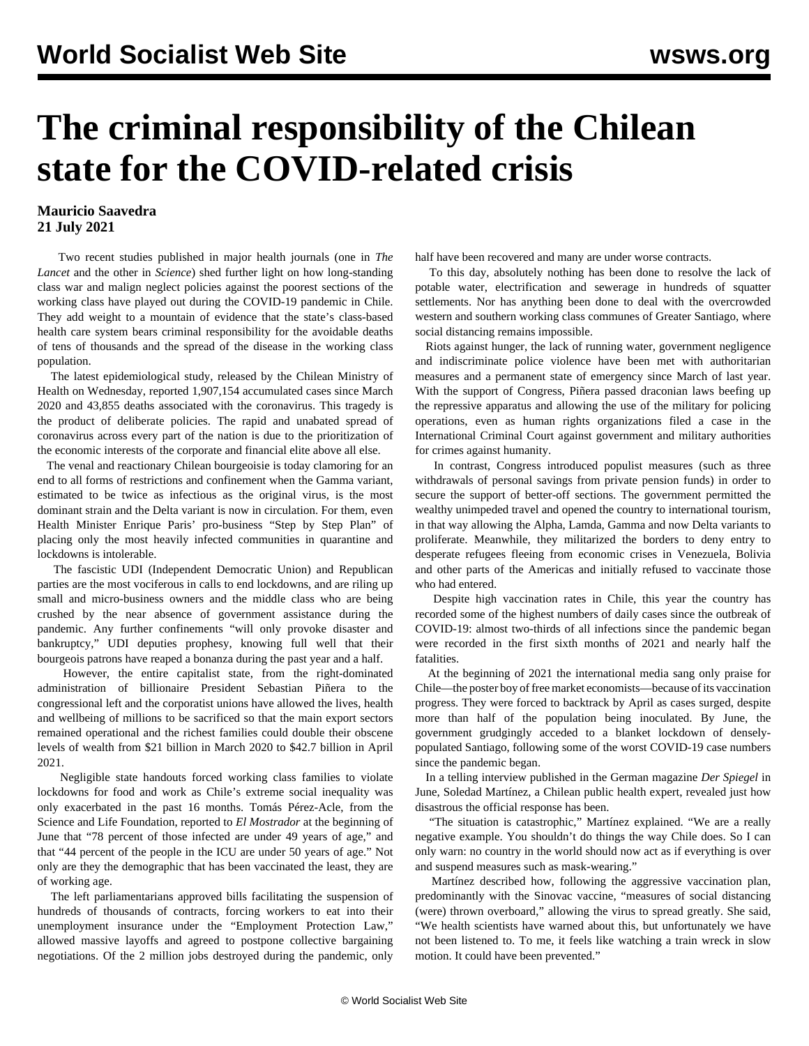## **The criminal responsibility of the Chilean state for the COVID-related crisis**

## **Mauricio Saavedra 21 July 2021**

 Two recent studies published in major health journals (one in *The Lancet* and the other in *Science*) shed further light on how long-standing class war and malign neglect policies against the poorest sections of the working class have played out during the COVID-19 pandemic in Chile. They add weight to a mountain of evidence that the state's class-based health care system bears criminal responsibility for the avoidable deaths of tens of thousands and the spread of the disease in the working class population.

 The latest epidemiological study, released by the Chilean Ministry of Health on Wednesday, reported 1,907,154 accumulated cases since March 2020 and 43,855 deaths associated with the coronavirus. This tragedy is the product of deliberate policies. The rapid and unabated spread of coronavirus across every part of the nation is due to the prioritization of the economic interests of the corporate and financial elite above all else.

 The venal and reactionary Chilean bourgeoisie is today clamoring for an end to all forms of restrictions and confinement when the Gamma variant, estimated to be twice as infectious as the original virus, is the most dominant strain and the Delta variant is now in circulation. For them, even Health Minister Enrique Paris' pro-business "Step by Step Plan" of placing only the most heavily infected communities in quarantine and lockdowns is intolerable.

 The fascistic UDI (Independent Democratic Union) and Republican parties are the most vociferous in calls to end lockdowns, and are riling up small and micro-business owners and the middle class who are being crushed by the near absence of government assistance during the pandemic. Any further confinements "will only provoke disaster and bankruptcy," UDI deputies prophesy, knowing full well that their bourgeois patrons have reaped a bonanza during the past year and a half.

 However, the entire capitalist state, from the right-dominated administration of billionaire President Sebastian Piñera to the congressional left and the corporatist unions have allowed the lives, health and wellbeing of millions to be sacrificed so that the main export sectors remained operational and the richest families could double their obscene levels of wealth from \$21 billion in March 2020 to \$42.7 billion in April 2021.

 Negligible state handouts forced working class families to violate lockdowns for food and work as Chile's extreme social inequality was only exacerbated in the past 16 months. Tomás Pérez-Acle, from the Science and Life Foundation, reported to *El Mostrador* at the beginning of June that "78 percent of those infected are under 49 years of age," and that "44 percent of the people in the ICU are under 50 years of age." Not only are they the demographic that has been vaccinated the least, they are of working age.

 The left parliamentarians approved bills facilitating the suspension of hundreds of thousands of contracts, forcing workers to eat into their unemployment insurance under the "Employment Protection Law," allowed massive layoffs and agreed to postpone collective bargaining negotiations. Of the 2 million jobs destroyed during the pandemic, only half have been recovered and many are under worse contracts.

 To this day, absolutely nothing has been done to resolve the lack of potable water, electrification and sewerage in hundreds of squatter settlements. Nor has anything been done to deal with the overcrowded western and southern working class communes of Greater Santiago, where social distancing remains impossible.

 Riots against hunger, the lack of running water, government negligence and indiscriminate police violence have been met with authoritarian measures and a permanent state of emergency since March of last year. With the support of Congress, Piñera passed draconian laws beefing up the repressive apparatus and allowing the use of the military for policing operations, even as human rights organizations filed a case in the International Criminal Court against government and military authorities for crimes against humanity.

 In contrast, Congress introduced populist measures (such as three withdrawals of personal savings from private pension funds) in order to secure the support of better-off sections. The government permitted the wealthy unimpeded travel and opened the country to international tourism, in that way allowing the Alpha, Lamda, Gamma and now Delta variants to proliferate. Meanwhile, they militarized the borders to deny entry to desperate refugees fleeing from economic crises in Venezuela, Bolivia and other parts of the Americas and initially refused to vaccinate those who had entered.

 Despite high vaccination rates in Chile, this year the country has recorded some of the highest numbers of daily cases since the outbreak of COVID-19: almost two-thirds of all infections since the pandemic began were recorded in the first sixth months of 2021 and nearly half the fatalities.

 At the beginning of 2021 the international media sang only praise for Chile—the poster boy of free market economists—because of its vaccination progress. They were forced to backtrack by April as cases surged, despite more than half of the population being inoculated. By June, the government grudgingly acceded to a blanket lockdown of denselypopulated Santiago, following some of the worst COVID-19 case numbers since the pandemic began.

 In a telling [interview](https://www.spiegel.de/ausland/chile-corona-desaster-trotz-impfungen-a-0db0e48b-4894-43f4-923e-544809be382a) published in the German magazine *Der Spiegel* in June, Soledad Martínez, a Chilean public health expert, revealed just how disastrous the official response has been.

 "The situation is catastrophic," Martínez explained. "We are a really negative example. You shouldn't do things the way Chile does. So I can only warn: no country in the world should now act as if everything is over and suspend measures such as mask-wearing."

 Martínez described how, following the aggressive vaccination plan, predominantly with the Sinovac vaccine, "measures of social distancing (were) thrown overboard," allowing the virus to spread greatly. She said, "We health scientists have warned about this, but unfortunately we have not been listened to. To me, it feels like watching a train wreck in slow motion. It could have been prevented."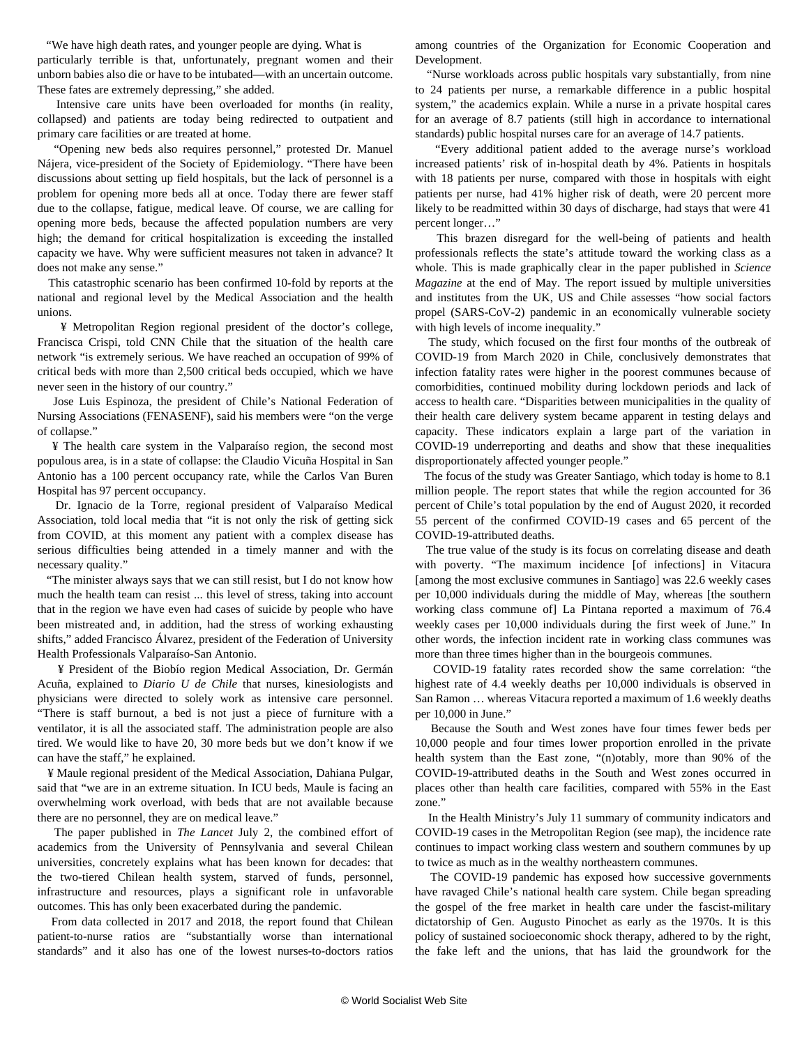"We have high death rates, and younger people are dying. What is particularly terrible is that, unfortunately, pregnant women and their unborn babies also die or have to be intubated—with an uncertain outcome. These fates are extremely depressing," she added.

 Intensive care units have been overloaded for months (in reality, collapsed) and patients are today being redirected to outpatient and primary care facilities or are treated at home.

 "Opening new beds also requires personnel," protested Dr. Manuel Nájera, vice-president of the Society of Epidemiology. "There have been discussions about setting up field hospitals, but the lack of personnel is a problem for opening more beds all at once. Today there are fewer staff due to the collapse, fatigue, medical leave. Of course, we are calling for opening more beds, because the affected population numbers are very high; the demand for critical hospitalization is exceeding the installed capacity we have. Why were sufficient measures not taken in advance? It does not make any sense."

 This catastrophic scenario has been confirmed 10-fold by reports at the national and regional level by the Medical Association and the health unions.

 ¥ Metropolitan Region regional president of the doctor's college, Francisca Crispi, told CNN Chile that the situation of the health care network "is extremely serious. We have reached an occupation of 99% of critical beds with more than 2,500 critical beds occupied, which we have never seen in the history of our country."

 Jose Luis Espinoza, the president of Chile's National Federation of Nursing Associations (FENASENF), said his members were "on the verge of collapse."

 ¥ The health care system in the Valparaíso region, the second most populous area, is in a state of collapse: the Claudio Vicuña Hospital in San Antonio has a 100 percent occupancy rate, while the Carlos Van Buren Hospital has 97 percent occupancy.

 Dr. Ignacio de la Torre, regional president of Valparaíso Medical Association, told local media that "it is not only the risk of getting sick from COVID, at this moment any patient with a complex disease has serious difficulties being attended in a timely manner and with the necessary quality."

 "The minister always says that we can still resist, but I do not know how much the health team can resist ... this level of stress, taking into account that in the region we have even had cases of suicide by people who have been mistreated and, in addition, had the stress of working exhausting shifts," added Francisco Álvarez, president of the Federation of University Health Professionals Valparaíso-San Antonio.

 ¥ President of the Biobío region Medical Association, Dr. Germán Acuña, explained to *Diario U de Chile* that nurses, kinesiologists and physicians were directed to solely work as intensive care personnel. "There is staff burnout, a bed is not just a piece of furniture with a ventilator, it is all the associated staff. The administration people are also tired. We would like to have 20, 30 more beds but we don't know if we can have the staff," he explained.

 ¥ Maule regional president of the Medical Association, Dahiana Pulgar, said that "we are in an extreme situation. In ICU beds, Maule is facing an overwhelming work overload, with beds that are not available because there are no personnel, they are on medical leave."

 The paper published in *[The Lancet](https://www.thelancet.com/journals/langlo/article/PIIS2214-109X(21)00209-6/fulltext)* July 2, the combined effort of academics from the University of Pennsylvania and several Chilean universities, concretely explains what has been known for decades: that the two-tiered Chilean health system, starved of funds, personnel, infrastructure and resources, plays a significant role in unfavorable outcomes. This has only been exacerbated during the pandemic.

 From data collected in 2017 and 2018, the report found that Chilean patient-to-nurse ratios are "substantially worse than international standards" and it also has one of the lowest nurses-to-doctors ratios

among countries of the Organization for Economic Cooperation and Development.

 "Nurse workloads across public hospitals vary substantially, from nine to 24 patients per nurse, a remarkable difference in a public hospital system," the academics explain. While a nurse in a private hospital cares for an average of 8.7 patients (still high in accordance to international standards) public hospital nurses care for an average of 14.7 patients.

 "Every additional patient added to the average nurse's workload increased patients' risk of in-hospital death by 4%. Patients in hospitals with 18 patients per nurse, compared with those in hospitals with eight patients per nurse, had 41% higher risk of death, were 20 percent more likely to be readmitted within 30 days of discharge, had stays that were 41 percent longer…"

 This brazen disregard for the well-being of patients and health professionals reflects the state's attitude toward the working class as a whole. This is made graphically clear in the paper published in *[Science](https://science.sciencemag.org/content/372/6545/eabg5298) [Magazine](https://science.sciencemag.org/content/372/6545/eabg5298)* at the end of May. The report issued by multiple universities and institutes from the UK, US and Chile assesses "how social factors propel (SARS-CoV-2) pandemic in an economically vulnerable society with high levels of income inequality."

 The study, which focused on the first four months of the outbreak of COVID-19 from March 2020 in Chile, conclusively demonstrates that infection fatality rates were higher in the poorest communes because of comorbidities, continued mobility during lockdown periods and lack of access to health care. "Disparities between municipalities in the quality of their health care delivery system became apparent in testing delays and capacity. These indicators explain a large part of the variation in COVID-19 underreporting and deaths and show that these inequalities disproportionately affected younger people."

 The focus of the study was Greater Santiago, which today is home to 8.1 million people. The report states that while the region accounted for 36 percent of Chile's total population by the end of August 2020, it recorded 55 percent of the confirmed COVID-19 cases and 65 percent of the COVID-19-attributed deaths.

 The true value of the study is its focus on correlating disease and death with poverty. "The maximum incidence [of infections] in Vitacura [among the most exclusive communes in Santiago] was 22.6 weekly cases per 10,000 individuals during the middle of May, whereas [the southern working class commune of] La Pintana reported a maximum of 76.4 weekly cases per 10,000 individuals during the first week of June." In other words, the infection incident rate in working class communes was more than three times higher than in the bourgeois communes.

 COVID-19 fatality rates recorded show the same correlation: "the highest rate of 4.4 weekly deaths per 10,000 individuals is observed in San Ramon … whereas Vitacura reported a maximum of 1.6 weekly deaths per 10,000 in June."

 Because the South and West zones have four times fewer beds per 10,000 people and four times lower proportion enrolled in the private health system than the East zone, "(n)otably, more than 90% of the COVID-19-attributed deaths in the South and West zones occurred in places other than health care facilities, compared with 55% in the East zone."

 In the Health Ministry's July 11 summary of community indicators and COVID-19 cases in the Metropolitan Region (see map), the incidence rate continues to impact working class western and southern communes by up to twice as much as in the wealthy northeastern communes.

 The COVID-19 pandemic has exposed how successive governments have ravaged Chile's national health care system. Chile began spreading the gospel of the free market in health care under the fascist-military dictatorship of Gen. Augusto Pinochet as early as the 1970s. It is this policy of sustained socioeconomic shock therapy, adhered to by the right, the fake left and the unions, that has laid the groundwork for the